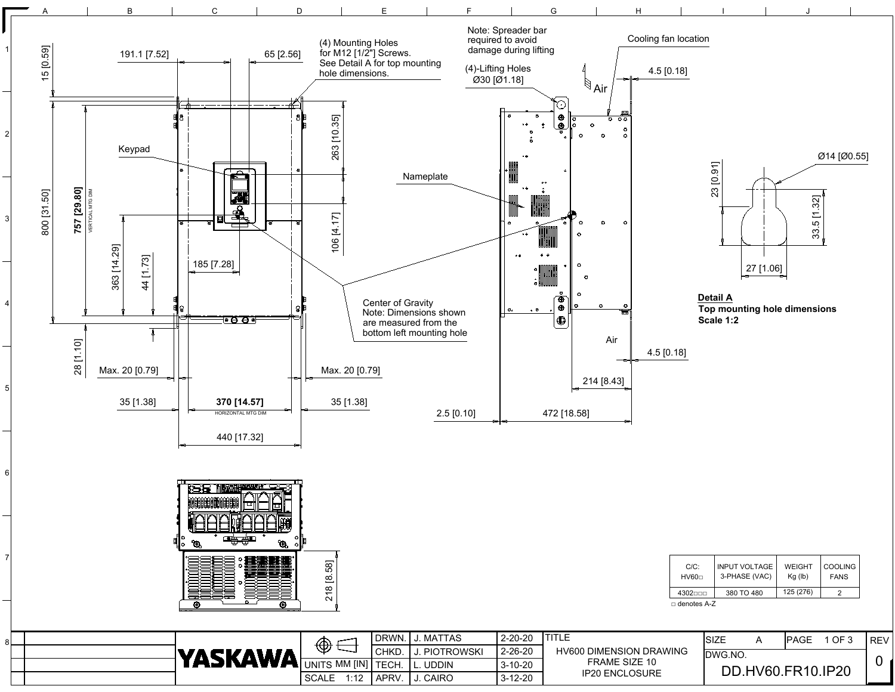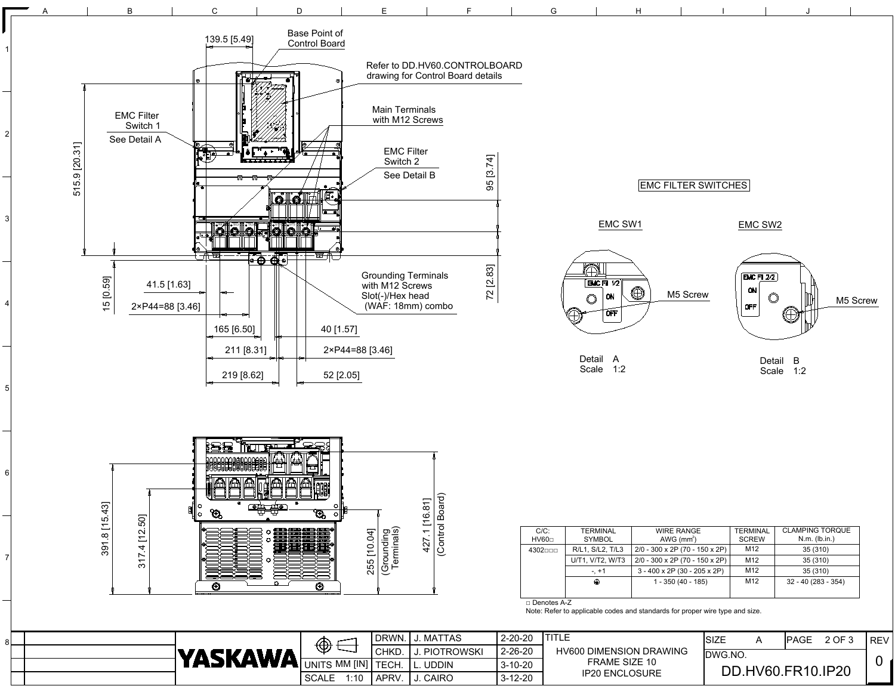